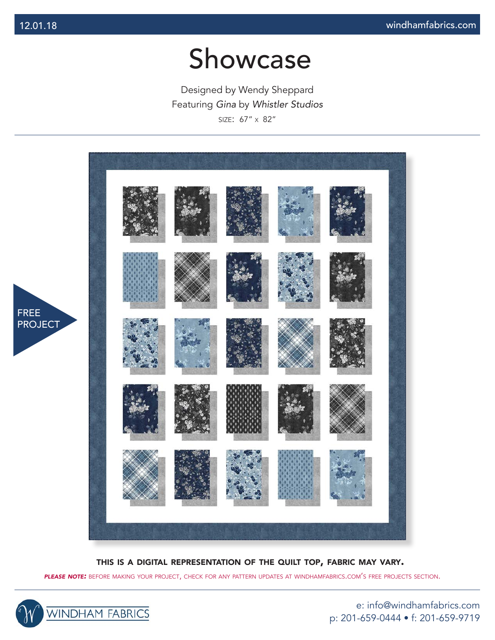Designed by Wendy Sheppard Featuring *Gina* by *Whistler Studios* size: 67" x 82"



this is <sup>a</sup> digital representation of the quilt top, fabric may vary.

*please note:* before making your project, check for any pattern updates at windhamfabrics.com's free projects section.



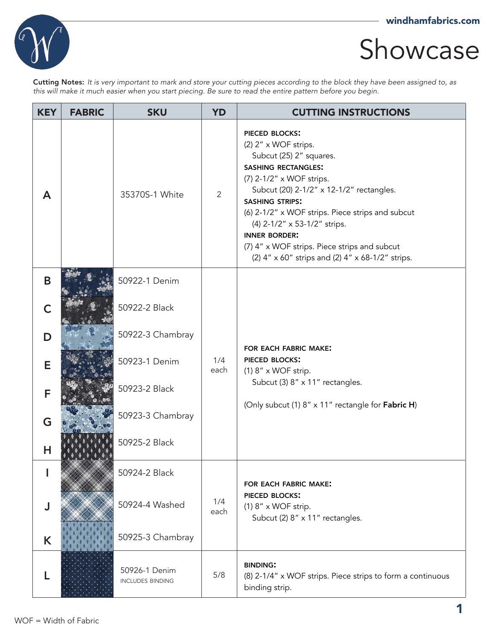

Cutting Notes: *It is very important to mark and store your cutting pieces according to the block they have been assigned to, as this will make it much easier when you start piecing. Be sure to read the entire pattern before you begin.*

| <b>KEY</b>   | <b>FABRIC</b> | <b>SKU</b>                               | <b>YD</b>    | <b>CUTTING INSTRUCTIONS</b>                                                                                                                                                                                                                                                                                                                                                                                              |
|--------------|---------------|------------------------------------------|--------------|--------------------------------------------------------------------------------------------------------------------------------------------------------------------------------------------------------------------------------------------------------------------------------------------------------------------------------------------------------------------------------------------------------------------------|
| $\mathsf{A}$ |               | 35370S-1 White                           | $\mathbf{2}$ | <b>PIECED BLOCKS:</b><br>(2) 2" x WOF strips.<br>Subcut (25) 2" squares.<br><b>SASHING RECTANGLES:</b><br>(7) 2-1/2" x WOF strips.<br>Subcut (20) 2-1/2" x 12-1/2" rectangles.<br><b>SASHING STRIPS:</b><br>(6) 2-1/2" x WOF strips. Piece strips and subcut<br>(4) 2-1/2" x 53-1/2" strips.<br><b>INNER BORDER:</b><br>(7) 4" x WOF strips. Piece strips and subcut<br>(2) 4" x 60" strips and (2) 4" x 68-1/2" strips. |
| B            |               | 50922-1 Denim                            |              |                                                                                                                                                                                                                                                                                                                                                                                                                          |
| C            |               | 50922-2 Black                            |              |                                                                                                                                                                                                                                                                                                                                                                                                                          |
| D            |               | 50922-3 Chambray                         |              | FOR EACH FABRIC MAKE:                                                                                                                                                                                                                                                                                                                                                                                                    |
| E            |               | 50923-1 Denim                            | 1/4<br>each  | <b>PIECED BLOCKS:</b><br>$(1)$ 8" x WOF strip.                                                                                                                                                                                                                                                                                                                                                                           |
| F            |               | 50923-2 Black                            |              | Subcut (3) 8" x 11" rectangles.<br>(Only subcut (1) 8" x 11" rectangle for Fabric H)                                                                                                                                                                                                                                                                                                                                     |
| G            |               | 50923-3 Chambray                         |              |                                                                                                                                                                                                                                                                                                                                                                                                                          |
| н            |               | 50925-2 Black                            |              |                                                                                                                                                                                                                                                                                                                                                                                                                          |
|              |               | 50924-2 Black                            |              | FOR EACH FABRIC MAKE:                                                                                                                                                                                                                                                                                                                                                                                                    |
| J            |               | 50924-4 Washed                           | 1/4<br>each  | PIECED BLOCKS:<br>$(1)$ 8" x WOF strip.<br>Subcut (2) 8" x 11" rectangles.                                                                                                                                                                                                                                                                                                                                               |
| K            |               | 50925-3 Chambray                         |              |                                                                                                                                                                                                                                                                                                                                                                                                                          |
| L            |               | 50926-1 Denim<br><b>INCLUDES BINDING</b> | 5/8          | <b>BINDING:</b><br>(8) 2-1/4" x WOF strips. Piece strips to form a continuous<br>binding strip.                                                                                                                                                                                                                                                                                                                          |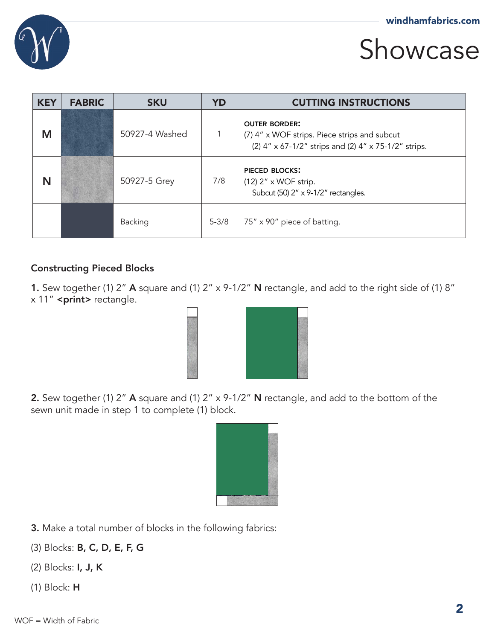

| <b>KEY</b> | <b>FABRIC</b> | <b>SKU</b>     | <b>YD</b> | <b>CUTTING INSTRUCTIONS</b>                                                                                                  |
|------------|---------------|----------------|-----------|------------------------------------------------------------------------------------------------------------------------------|
| M          |               | 50927-4 Washed | 1         | <b>OUTER BORDER:</b><br>(7) 4" x WOF strips. Piece strips and subcut<br>(2) 4" x 67-1/2" strips and (2) 4" x 75-1/2" strips. |
| N          |               | 50927-5 Grey   | 7/8       | PIECED BLOCKS:<br>$(12)$ 2" x WOF strip.<br>Subcut (50) 2" x 9-1/2" rectangles.                                              |
|            |               | Backing        | $5 - 3/8$ | 75" x 90" piece of batting.                                                                                                  |

#### Constructing Pieced Blocks

1. Sew together (1) 2" A square and (1) 2" x 9-1/2" N rectangle, and add to the right side of (1) 8" x 11" <print> rectangle.



2. Sew together (1) 2" A square and (1) 2" x 9-1/2" N rectangle, and add to the bottom of the sewn unit made in step 1 to complete (1) block.



- 3. Make a total number of blocks in the following fabrics:
- (3) Blocks: B, C, D, E, F, G
- (2) Blocks: I, J, K
- (1) Block: H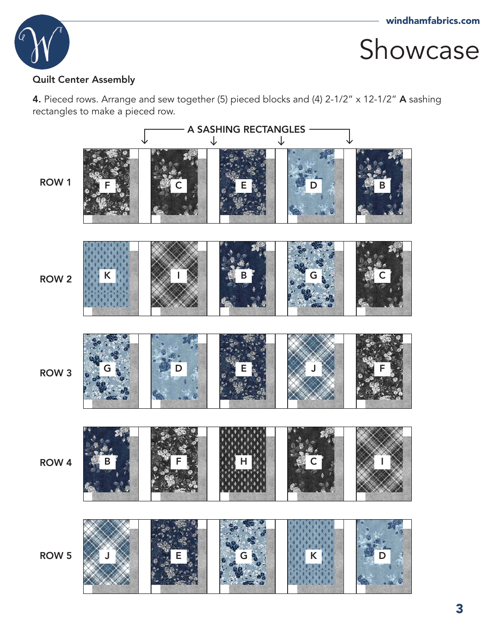

#### Quilt Center Assembly

4. Pieced rows. Arrange and sew together (5) pieced blocks and (4) 2-1/2" x 12-1/2" A sashing rectangles to make a pieced row.

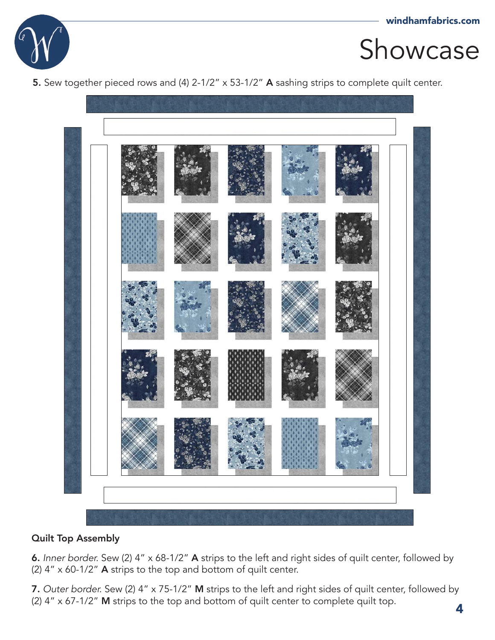

5. Sew together pieced rows and (4) 2-1/2" x 53-1/2" A sashing strips to complete quilt center.



#### Quilt Top Assembly

6. *Inner border.* Sew (2) 4" x 68-1/2" A strips to the left and right sides of quilt center, followed by (2) 4" x 60-1/2" A strips to the top and bottom of quilt center.

7. *Outer border.* Sew (2) 4" x 75-1/2" M strips to the left and right sides of quilt center, followed by (2) 4" x 67-1/2" M strips to the top and bottom of quilt center to complete quilt top.